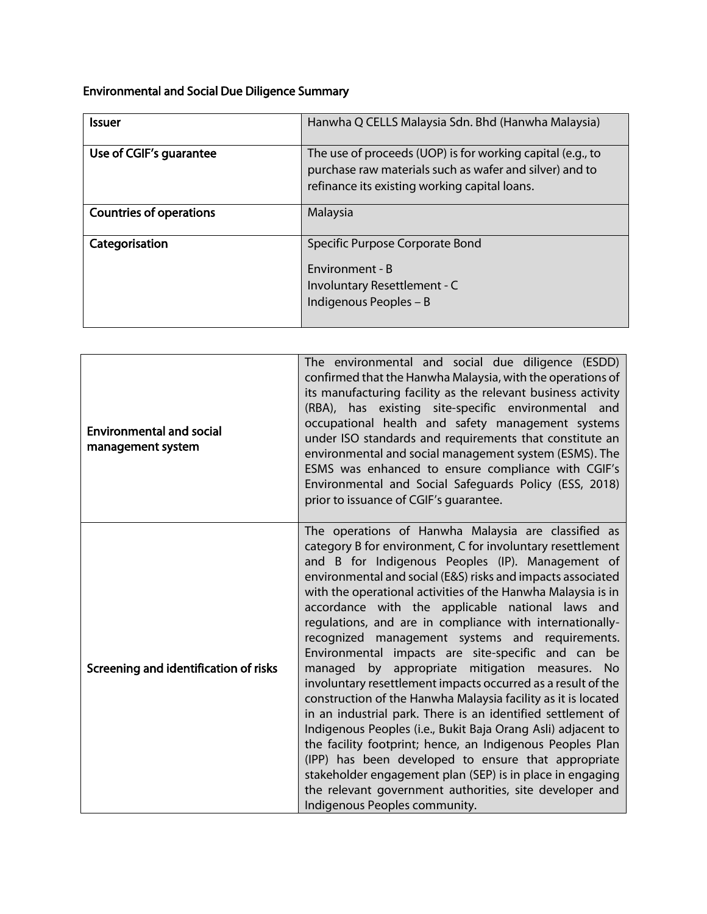## Environmental and Social Due Diligence Summary

| <b>Issuer</b>                  | Hanwha Q CELLS Malaysia Sdn. Bhd (Hanwha Malaysia)                                                                                                                     |
|--------------------------------|------------------------------------------------------------------------------------------------------------------------------------------------------------------------|
| Use of CGIF's guarantee        | The use of proceeds (UOP) is for working capital (e.g., to<br>purchase raw materials such as wafer and silver) and to<br>refinance its existing working capital loans. |
| <b>Countries of operations</b> | Malaysia                                                                                                                                                               |
| Categorisation                 | Specific Purpose Corporate Bond<br>Environment - B<br>Involuntary Resettlement - C<br>Indigenous Peoples - B                                                           |

| <b>Environmental and social</b><br>management system | The environmental and social due diligence (ESDD)<br>confirmed that the Hanwha Malaysia, with the operations of<br>its manufacturing facility as the relevant business activity<br>(RBA), has existing site-specific environmental and<br>occupational health and safety management systems<br>under ISO standards and requirements that constitute an<br>environmental and social management system (ESMS). The<br>ESMS was enhanced to ensure compliance with CGIF's<br>Environmental and Social Safeguards Policy (ESS, 2018)<br>prior to issuance of CGIF's quarantee.                                                                                                                                                                                                                                                                                                                                                                                                                                                                                                                                                   |
|------------------------------------------------------|------------------------------------------------------------------------------------------------------------------------------------------------------------------------------------------------------------------------------------------------------------------------------------------------------------------------------------------------------------------------------------------------------------------------------------------------------------------------------------------------------------------------------------------------------------------------------------------------------------------------------------------------------------------------------------------------------------------------------------------------------------------------------------------------------------------------------------------------------------------------------------------------------------------------------------------------------------------------------------------------------------------------------------------------------------------------------------------------------------------------------|
| Screening and identification of risks                | The operations of Hanwha Malaysia are classified as<br>category B for environment, C for involuntary resettlement<br>and B for Indigenous Peoples (IP). Management of<br>environmental and social (E&S) risks and impacts associated<br>with the operational activities of the Hanwha Malaysia is in<br>accordance with the applicable national laws and<br>regulations, and are in compliance with internationally-<br>recognized management systems and requirements.<br>Environmental impacts are site-specific and can be<br>managed by appropriate mitigation measures. No<br>involuntary resettlement impacts occurred as a result of the<br>construction of the Hanwha Malaysia facility as it is located<br>in an industrial park. There is an identified settlement of<br>Indigenous Peoples (i.e., Bukit Baja Orang Asli) adjacent to<br>the facility footprint; hence, an Indigenous Peoples Plan<br>(IPP) has been developed to ensure that appropriate<br>stakeholder engagement plan (SEP) is in place in engaging<br>the relevant government authorities, site developer and<br>Indigenous Peoples community. |